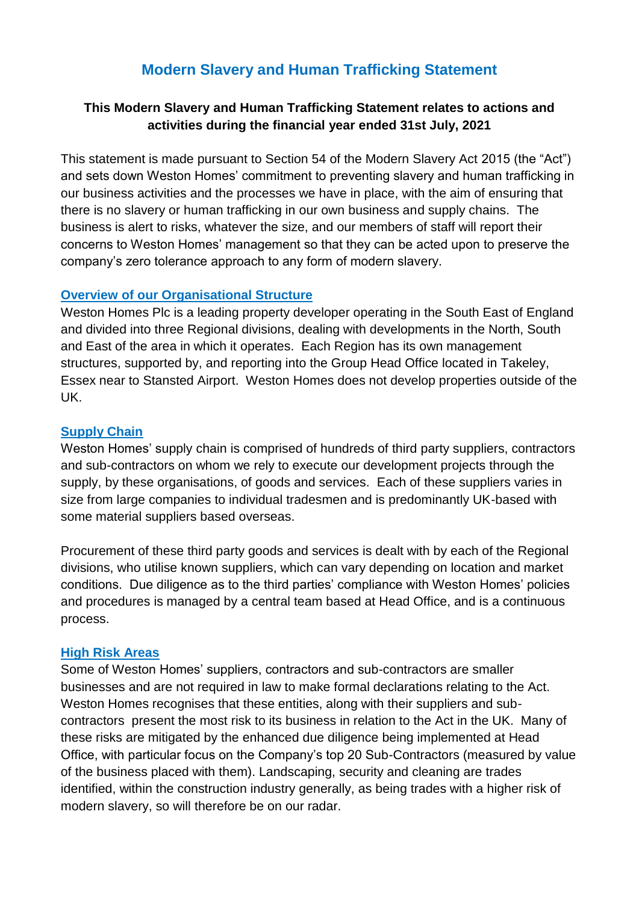# **Modern Slavery and Human Trafficking Statement**

### **This Modern Slavery and Human Trafficking Statement relates to actions and activities during the financial year ended 31st July, 2021**

This statement is made pursuant to Section 54 of the Modern Slavery Act 2015 (the "Act") and sets down Weston Homes' commitment to preventing slavery and human trafficking in our business activities and the processes we have in place, with the aim of ensuring that there is no slavery or human trafficking in our own business and supply chains. The business is alert to risks, whatever the size, and our members of staff will report their concerns to Weston Homes' management so that they can be acted upon to preserve the company's zero tolerance approach to any form of modern slavery.

#### **Overview of our Organisational Structure**

Weston Homes Plc is a leading property developer operating in the South East of England and divided into three Regional divisions, dealing with developments in the North, South and East of the area in which it operates. Each Region has its own management structures, supported by, and reporting into the Group Head Office located in Takeley, Essex near to Stansted Airport. Weston Homes does not develop properties outside of the UK.

#### **Supply Chain**

Weston Homes' supply chain is comprised of hundreds of third party suppliers, contractors and sub-contractors on whom we rely to execute our development projects through the supply, by these organisations, of goods and services. Each of these suppliers varies in size from large companies to individual tradesmen and is predominantly UK-based with some material suppliers based overseas.

Procurement of these third party goods and services is dealt with by each of the Regional divisions, who utilise known suppliers, which can vary depending on location and market conditions. Due diligence as to the third parties' compliance with Weston Homes' policies and procedures is managed by a central team based at Head Office, and is a continuous process.

#### **High Risk Areas**

Some of Weston Homes' suppliers, contractors and sub-contractors are smaller businesses and are not required in law to make formal declarations relating to the Act. Weston Homes recognises that these entities, along with their suppliers and subcontractors present the most risk to its business in relation to the Act in the UK. Many of these risks are mitigated by the enhanced due diligence being implemented at Head Office, with particular focus on the Company's top 20 Sub-Contractors (measured by value of the business placed with them). Landscaping, security and cleaning are trades identified, within the construction industry generally, as being trades with a higher risk of modern slavery, so will therefore be on our radar.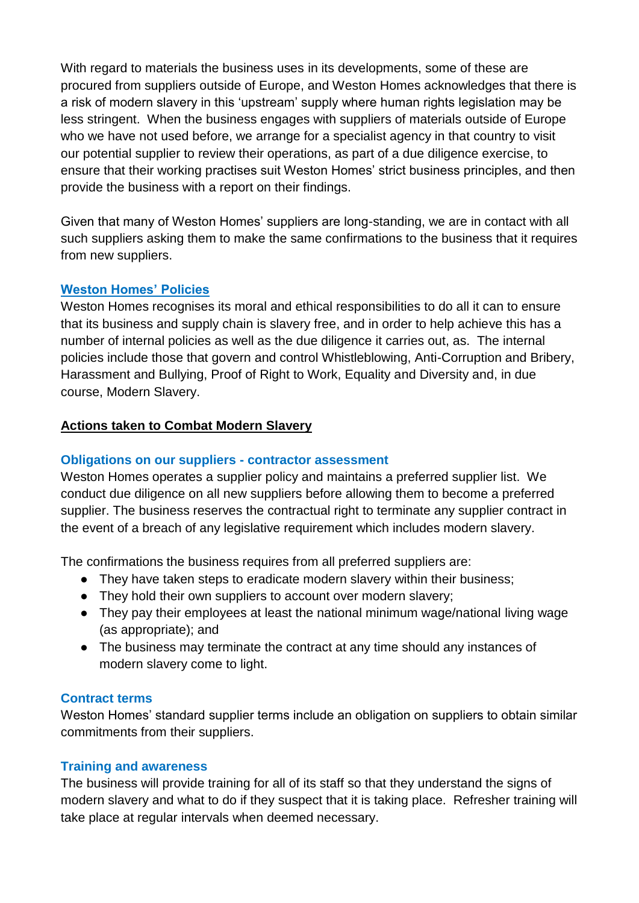With regard to materials the business uses in its developments, some of these are procured from suppliers outside of Europe, and Weston Homes acknowledges that there is a risk of modern slavery in this 'upstream' supply where human rights legislation may be less stringent. When the business engages with suppliers of materials outside of Europe who we have not used before, we arrange for a specialist agency in that country to visit our potential supplier to review their operations, as part of a due diligence exercise, to ensure that their working practises suit Weston Homes' strict business principles, and then provide the business with a report on their findings.

Given that many of Weston Homes' suppliers are long-standing, we are in contact with all such suppliers asking them to make the same confirmations to the business that it requires from new suppliers.

# **Weston Homes' Policies**

Weston Homes recognises its moral and ethical responsibilities to do all it can to ensure that its business and supply chain is slavery free, and in order to help achieve this has a number of internal policies as well as the due diligence it carries out, as. The internal policies include those that govern and control Whistleblowing, Anti-Corruption and Bribery, Harassment and Bullying, Proof of Right to Work, Equality and Diversity and, in due course, Modern Slavery.

# **Actions taken to Combat Modern Slavery**

## **Obligations on our suppliers - contractor assessment**

Weston Homes operates a supplier policy and maintains a preferred supplier list. We conduct due diligence on all new suppliers before allowing them to become a preferred supplier. The business reserves the contractual right to terminate any supplier contract in the event of a breach of any legislative requirement which includes modern slavery.

The confirmations the business requires from all preferred suppliers are:

- They have taken steps to eradicate modern slavery within their business;
- They hold their own suppliers to account over modern slavery;
- They pay their employees at least the national minimum wage/national living wage (as appropriate); and
- The business may terminate the contract at any time should any instances of modern slavery come to light.

### **Contract terms**

Weston Homes' standard supplier terms include an obligation on suppliers to obtain similar commitments from their suppliers.

### **Training and awareness**

The business will provide training for all of its staff so that they understand the signs of modern slavery and what to do if they suspect that it is taking place. Refresher training will take place at regular intervals when deemed necessary.